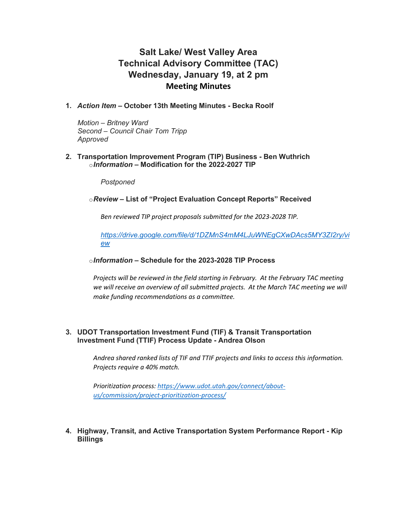# **Salt Lake/ West Valley Area Technical Advisory Committee (TAC) Wednesday, January 19, at 2 pm Meeting Minutes**

**1.** *Action Item* **– October 13th Meeting Minutes - Becka Roolf**

*Motion* – *Britney Ward Second* – *Council Chair Tom Tripp Approved*

**2. Transportation Improvement Program (TIP) Business - Ben Wuthrich** o*Information* **– Modification for the 2022-2027 TIP**

*Postponed*

o*Review* **– List of "Project Evaluation Concept Reports" Received**

*Ben reviewed TIP project proposals submitted for the 2023-2028 TIP.* 

*[https://drive.google.com/file/d/1DZMnS4mM4LJuWNEgCXwDAcs5MY3ZI2ry/vi](https://drive.google.com/file/d/1DZMnS4mM4LJuWNEgCXwDAcs5MY3ZI2ry/view) [ew](https://drive.google.com/file/d/1DZMnS4mM4LJuWNEgCXwDAcs5MY3ZI2ry/view)*

## o*Information* **– Schedule for the 2023-2028 TIP Process**

*Projects will be reviewed in the field starting in February. At the February TAC meeting we will receive an overview of all submitted projects. At the March TAC meeting we will make funding recommendations as a committee.*

### **3. UDOT Transportation Investment Fund (TIF) & Transit Transportation Investment Fund (TTIF) Process Update - Andrea Olson**

*Andrea shared ranked lists of TIF and TTIF projects and links to access this information. Projects require a 40% match.* 

*Prioritization process: [https://www.udot.utah.gov/connect/about](https://www.udot.utah.gov/connect/about-us/commission/project-prioritization-process/)[us/commission/project-prioritization-process/](https://www.udot.utah.gov/connect/about-us/commission/project-prioritization-process/)*

**4. Highway, Transit, and Active Transportation System Performance Report - Kip Billings**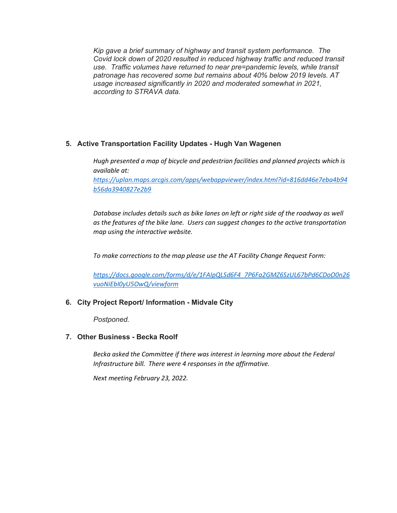*Kip gave a brief summary of highway and transit system performance. The Covid lock down of 2020 resulted in reduced highway traffic and reduced transit use. Traffic volumes have returned to near pre=pandemic levels, while transit patronage has recovered some but remains about 40% below 2019 levels. AT usage increased significantly in 2020 and moderated somewhat in 2021, according to STRAVA data.*

## **5. Active Transportation Facility Updates - Hugh Van Wagenen**

*Hugh presented a map of bicycle and pedestrian facilities and planned projects which is available at:*

*[https://uplan.maps.arcgis.com/apps/webappviewer/index.html?id=816dd46e7eba4b94](https://uplan.maps.arcgis.com/apps/webappviewer/index.html?id=816dd46e7eba4b94b56da3940827e2b9) [b56da3940827e2b9](https://uplan.maps.arcgis.com/apps/webappviewer/index.html?id=816dd46e7eba4b94b56da3940827e2b9)*

*Database includes details such as bike lanes on left or right side of the roadway as well as the features of the bike lane. Users can suggest changes to the active transportation map using the interactive website.*

*To make corrections to the map please use the AT Facility Change Request Form:* 

*https://docs.google.com/forms/d/e/1FAIpQLSd6F4\_7P6Fa2GMZ6SzUL67bPd6CDoO0n26 vuoNiEbI0yU5OwQ/viewform*

## **6. City Project Report/ Information - Midvale City**

*Postponed.*

## **7. Other Business - Becka Roolf**

*Becka asked the Committee if there was interest in learning more about the Federal Infrastructure bill. There were 4 responses in the affirmative.*

*Next meeting February 23, 2022.*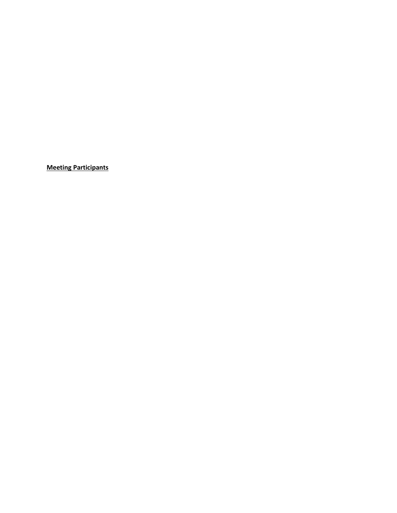**Meeting Participants**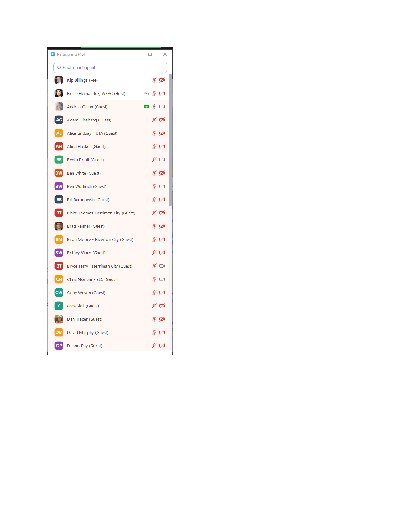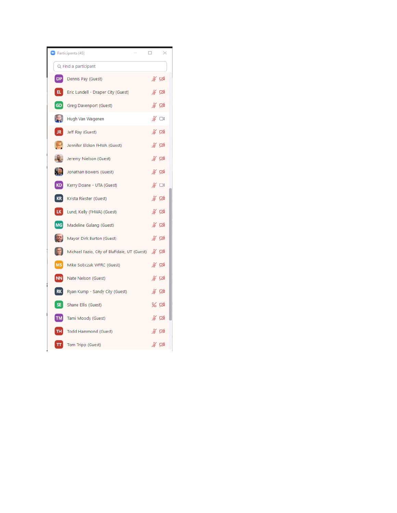